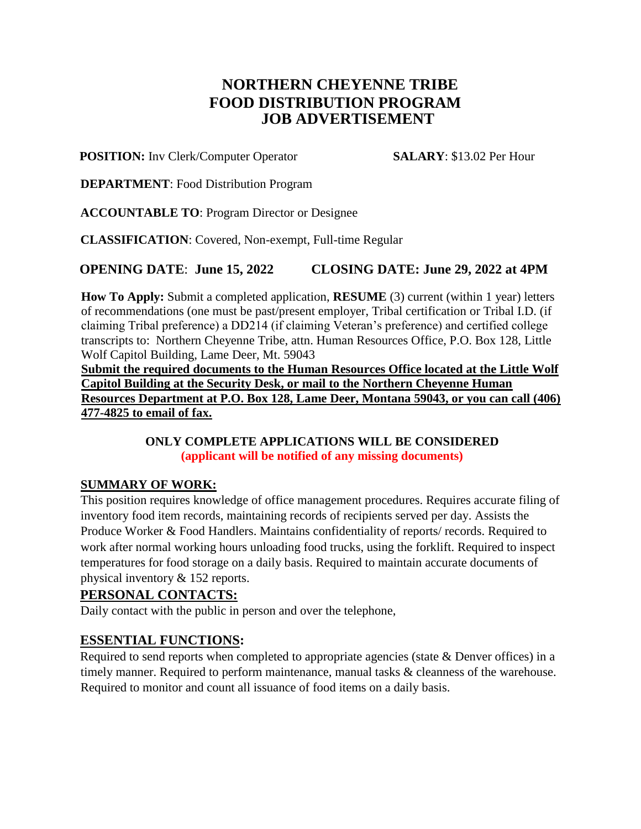# **NORTHERN CHEYENNE TRIBE FOOD DISTRIBUTION PROGRAM JOB ADVERTISEMENT**

#### **POSITION:** Inv Clerk/Computer Operator **SALARY**: \$13.02 Per Hour

**DEPARTMENT**: Food Distribution Program

**ACCOUNTABLE TO**: Program Director or Designee

**CLASSIFICATION**: Covered, Non-exempt, Full-time Regular

# **OPENING DATE**: **June 15, 2022 CLOSING DATE: June 29, 2022 at 4PM**

**How To Apply:** Submit a completed application, **RESUME** (3) current (within 1 year) letters of recommendations (one must be past/present employer, Tribal certification or Tribal I.D. (if claiming Tribal preference) a DD214 (if claiming Veteran's preference) and certified college transcripts to: Northern Cheyenne Tribe, attn. Human Resources Office, P.O. Box 128, Little Wolf Capitol Building, Lame Deer, Mt. 59043

**Submit the required documents to the Human Resources Office located at the Little Wolf Capitol Building at the Security Desk, or mail to the Northern Cheyenne Human Resources Department at P.O. Box 128, Lame Deer, Montana 59043, or you can call (406) 477-4825 to email of fax.**

#### **ONLY COMPLETE APPLICATIONS WILL BE CONSIDERED (applicant will be notified of any missing documents)**

## **SUMMARY OF WORK:**

This position requires knowledge of office management procedures. Requires accurate filing of inventory food item records, maintaining records of recipients served per day. Assists the Produce Worker & Food Handlers. Maintains confidentiality of reports/ records. Required to work after normal working hours unloading food trucks, using the forklift. Required to inspect temperatures for food storage on a daily basis. Required to maintain accurate documents of physical inventory & 152 reports.

## **PERSONAL CONTACTS:**

Daily contact with the public in person and over the telephone,

## **ESSENTIAL FUNCTIONS:**

Required to send reports when completed to appropriate agencies (state & Denver offices) in a timely manner. Required to perform maintenance, manual tasks & cleanness of the warehouse. Required to monitor and count all issuance of food items on a daily basis.